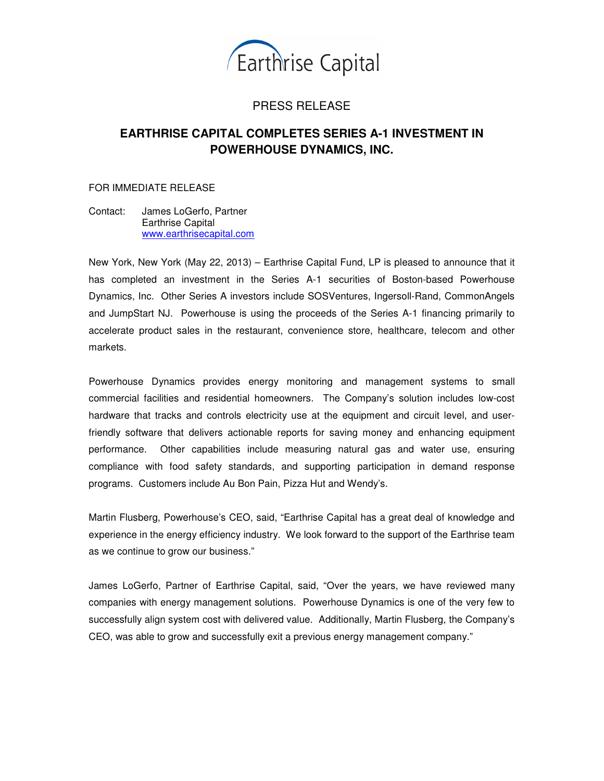

## PRESS RELEASE

## **EARTHRISE CAPITAL COMPLETES SERIES A-1 INVESTMENT IN POWERHOUSE DYNAMICS, INC.**

FOR IMMEDIATE RELEASE

Contact: James LoGerfo, Partner Earthrise Capital www.earthrisecapital.com

New York, New York (May 22, 2013) – Earthrise Capital Fund, LP is pleased to announce that it has completed an investment in the Series A-1 securities of Boston-based Powerhouse Dynamics, Inc. Other Series A investors include SOSVentures, Ingersoll-Rand, CommonAngels and JumpStart NJ. Powerhouse is using the proceeds of the Series A-1 financing primarily to accelerate product sales in the restaurant, convenience store, healthcare, telecom and other markets.

Powerhouse Dynamics provides energy monitoring and management systems to small commercial facilities and residential homeowners. The Company's solution includes low-cost hardware that tracks and controls electricity use at the equipment and circuit level, and userfriendly software that delivers actionable reports for saving money and enhancing equipment performance. Other capabilities include measuring natural gas and water use, ensuring compliance with food safety standards, and supporting participation in demand response programs. Customers include Au Bon Pain, Pizza Hut and Wendy's.

Martin Flusberg, Powerhouse's CEO, said, "Earthrise Capital has a great deal of knowledge and experience in the energy efficiency industry. We look forward to the support of the Earthrise team as we continue to grow our business."

James LoGerfo, Partner of Earthrise Capital, said, "Over the years, we have reviewed many companies with energy management solutions. Powerhouse Dynamics is one of the very few to successfully align system cost with delivered value. Additionally, Martin Flusberg, the Company's CEO, was able to grow and successfully exit a previous energy management company."